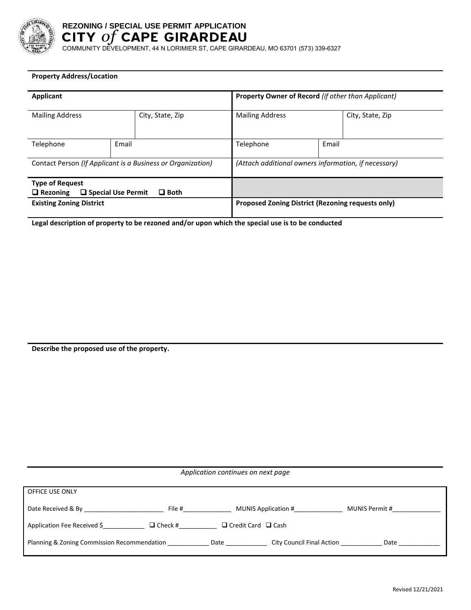

# **REZONING / SPECIAL USE PERMIT APPLICATION**

COMMUNITY DEVELOPMENT, 44 N LORIMIER ST, CAPE GIRARDEAU, MO 63701 (573) 339-6327

### **Property Address/Location**

| <b>Applicant</b>                                                  |       |                                                      | <b>Property Owner of Record (if other than Applicant)</b> |       |                  |
|-------------------------------------------------------------------|-------|------------------------------------------------------|-----------------------------------------------------------|-------|------------------|
| <b>Mailing Address</b>                                            |       | City, State, Zip                                     | <b>Mailing Address</b>                                    |       | City, State, Zip |
| Telephone                                                         | Email |                                                      | Telephone                                                 | Email |                  |
| Contact Person (If Applicant is a Business or Organization)       |       | (Attach additional owners information, if necessary) |                                                           |       |                  |
| <b>Type of Request</b><br>□ Special Use Permit<br>$\Box$ Rezoning |       | $\Box$ Both                                          |                                                           |       |                  |
| <b>Existing Zoning District</b>                                   |       | Proposed Zoning District (Rezoning requests only)    |                                                           |       |                  |

**Legal description of property to be rezoned and/or upon which the special use is to be conducted**

**Describe the proposed use of the property.**

*Application continues on next page*  OFFICE USE ONLY Date Received & By \_\_\_\_\_\_\_\_\_\_\_\_\_\_\_\_\_\_\_\_\_\_\_ File #\_\_\_\_\_\_\_\_\_\_\_\_\_\_ MUNIS Application #\_\_\_\_\_\_\_\_\_\_\_\_\_\_ MUNIS Permit #\_\_\_\_\_\_\_\_\_\_\_\_\_\_ Application Fee Received \$\_\_\_\_\_\_\_\_\_\_\_\_\_\_\_\_  $\Box$  Check #\_\_\_\_\_\_\_\_\_\_\_\_\_  $\Box$  Credit Card  $\Box$  Cash Planning & Zoning Commission Recommendation \_\_\_\_\_\_\_\_\_\_\_\_\_\_\_Date \_\_\_\_\_\_\_\_\_\_\_\_\_\_\_ City Council Final Action \_\_\_\_\_\_\_\_\_\_\_\_\_\_\_Date \_\_\_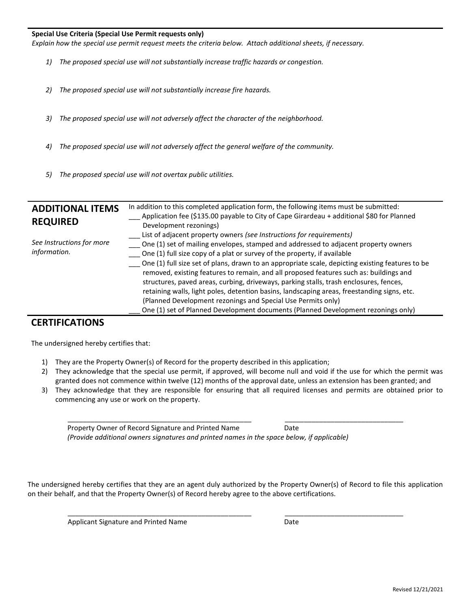#### **Special Use Criteria (Special Use Permit requests only)**

*Explain how the special use permit request meets the criteria below. Attach additional sheets, if necessary.*

- *1) The proposed special use will not substantially increase traffic hazards or congestion.*
- *2) The proposed special use will not substantially increase fire hazards.*
- *3) The proposed special use will not adversely affect the character of the neighborhood.*
- *4) The proposed special use will not adversely affect the general welfare of the community.*
- *5) The proposed special use will not overtax public utilities.*

| <b>ADDITIONAL ITEMS</b><br><b>REQUIRED</b> | In addition to this completed application form, the following items must be submitted:<br>Application fee (\$135.00 payable to City of Cape Girardeau + additional \$80 for Planned<br>Development rezonings)                                                                                                                                                                                                                                                                                                                                                                                                                                                                                                                                                                       |
|--------------------------------------------|-------------------------------------------------------------------------------------------------------------------------------------------------------------------------------------------------------------------------------------------------------------------------------------------------------------------------------------------------------------------------------------------------------------------------------------------------------------------------------------------------------------------------------------------------------------------------------------------------------------------------------------------------------------------------------------------------------------------------------------------------------------------------------------|
| See Instructions for more<br>information.  | List of adjacent property owners (see Instructions for requirements)<br>One (1) set of mailing envelopes, stamped and addressed to adjacent property owners<br>One (1) full size copy of a plat or survey of the property, if available<br>One (1) full size set of plans, drawn to an appropriate scale, depicting existing features to be<br>removed, existing features to remain, and all proposed features such as: buildings and<br>structures, paved areas, curbing, driveways, parking stalls, trash enclosures, fences,<br>retaining walls, light poles, detention basins, landscaping areas, freestanding signs, etc.<br>(Planned Development rezonings and Special Use Permits only)<br>One (1) set of Planned Development documents (Planned Development rezonings only) |

## **CERTIFICATIONS**

The undersigned hereby certifies that:

- 1) They are the Property Owner(s) of Record for the property described in this application;
- 2) They acknowledge that the special use permit, if approved, will become null and void if the use for which the permit was granted does not commence within twelve (12) months of the approval date, unless an extension has been granted; and
- 3) They acknowledge that they are responsible for ensuring that all required licenses and permits are obtained prior to commencing any use or work on the property.

| Property Owner of Record Signature and Printed Name                                        | Date |
|--------------------------------------------------------------------------------------------|------|
| (Provide additional owners signatures and printed names in the space below, if applicable) |      |

\_\_\_\_\_\_\_\_\_\_\_\_\_\_\_\_\_\_\_\_\_\_\_\_\_\_\_\_\_\_\_\_\_\_\_\_\_\_\_\_\_\_\_\_\_\_\_\_ \_\_\_\_\_\_\_\_\_\_\_\_\_\_\_\_\_\_\_\_\_\_\_\_\_\_\_\_\_\_\_

\_\_\_\_\_\_\_\_\_\_\_\_\_\_\_\_\_\_\_\_\_\_\_\_\_\_\_\_\_\_\_\_\_\_\_\_\_\_\_\_\_\_\_\_\_\_\_\_ \_\_\_\_\_\_\_\_\_\_\_\_\_\_\_\_\_\_\_\_\_\_\_\_\_\_\_\_\_\_\_

The undersigned hereby certifies that they are an agent duly authorized by the Property Owner(s) of Record to file this application on their behalf, and that the Property Owner(s) of Record hereby agree to the above certifications.

Applicant Signature and Printed Name Date Date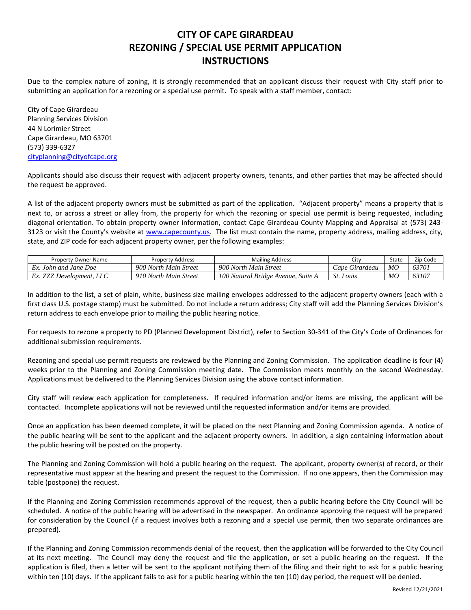## **CITY OF CAPE GIRARDEAU REZONING / SPECIAL USE PERMIT APPLICATION INSTRUCTIONS**

Due to the complex nature of zoning, it is strongly recommended that an applicant discuss their request with City staff prior to submitting an application for a rezoning or a special use permit. To speak with a staff member, contact:

City of Cape Girardeau Planning Services Division 44 N Lorimier Street Cape Girardeau, MO 63701 (573) 339-6327 [cityplanning@cityofcape.org](mailto:cityplanning@cityofcape.org)

Applicants should also discuss their request with adjacent property owners, tenants, and other parties that may be affected should the request be approved.

A list of the adjacent property owners must be submitted as part of the application. "Adjacent property" means a property that is next to, or across a street or alley from, the property for which the rezoning or special use permit is being requested, including diagonal orientation. To obtain property owner information, contact Cape Girardeau County Mapping and Appraisal at (573) 243 3123 or visit the County's website at [www.capecounty.us.](http://www.capecounty.us/) The list must contain the name, property address, mailing address, city, state, and ZIP code for each adjacent property owner, per the following examples:

| <b>Property Owner Name</b>     | Property Address      | <b>Mailing Address</b>                | City                                      | State | Zip Code |
|--------------------------------|-----------------------|---------------------------------------|-------------------------------------------|-------|----------|
| Ex.<br>. John and Jane Doe     | 900 North Main Street | 900 North Main Street                 | $\mathcal{L}$ ape $\prime$<br>e Girardeau | MO    | 63701    |
| <b>ZZZ</b> Development.<br>LLU | 910 North Main Street | 100 Natural Bridge Avenue,<br>Suite A | St.<br>Louis                              | MO    | 63107    |

In addition to the list, a set of plain, white, business size mailing envelopes addressed to the adjacent property owners (each with a first class U.S. postage stamp) must be submitted. Do not include a return address; City staff will add the Planning Services Division's return address to each envelope prior to mailing the public hearing notice.

For requests to rezone a property to PD (Planned Development District), refer to Section 30-341 of the City's Code of Ordinances for additional submission requirements.

Rezoning and special use permit requests are reviewed by the Planning and Zoning Commission. The application deadline is four (4) weeks prior to the Planning and Zoning Commission meeting date. The Commission meets monthly on the second Wednesday. Applications must be delivered to the Planning Services Division using the above contact information.

City staff will review each application for completeness. If required information and/or items are missing, the applicant will be contacted. Incomplete applications will not be reviewed until the requested information and/or items are provided.

Once an application has been deemed complete, it will be placed on the next Planning and Zoning Commission agenda. A notice of the public hearing will be sent to the applicant and the adjacent property owners. In addition, a sign containing information about the public hearing will be posted on the property.

The Planning and Zoning Commission will hold a public hearing on the request. The applicant, property owner(s) of record, or their representative must appear at the hearing and present the request to the Commission. If no one appears, then the Commission may table (postpone) the request.

If the Planning and Zoning Commission recommends approval of the request, then a public hearing before the City Council will be scheduled. A notice of the public hearing will be advertised in the newspaper. An ordinance approving the request will be prepared for consideration by the Council (if a request involves both a rezoning and a special use permit, then two separate ordinances are prepared).

If the Planning and Zoning Commission recommends denial of the request, then the application will be forwarded to the City Council at its next meeting. The Council may deny the request and file the application, or set a public hearing on the request. If the application is filed, then a letter will be sent to the applicant notifying them of the filing and their right to ask for a public hearing within ten (10) days. If the applicant fails to ask for a public hearing within the ten (10) day period, the request will be denied.